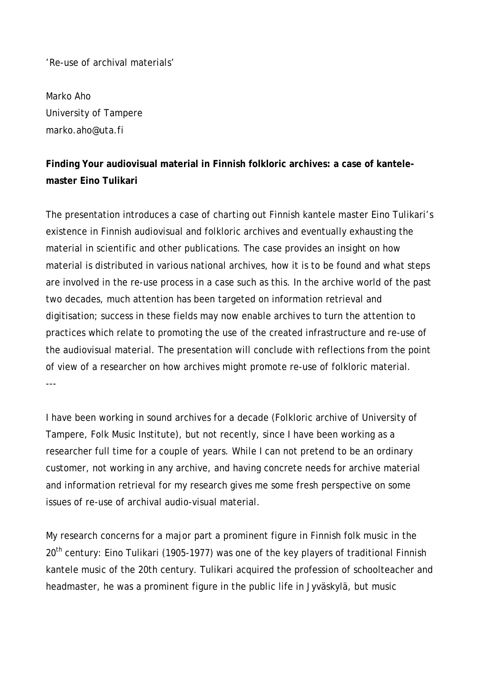'Re-use of archival materials'

Marko Aho University of Tampere marko.aho@uta.fi

## **Finding Your audiovisual material in Finnish folkloric archives: a case of kantelemaster Eino Tulikari**

The presentation introduces a case of charting out Finnish kantele master Eino Tulikari's existence in Finnish audiovisual and folkloric archives and eventually exhausting the material in scientific and other publications. The case provides an insight on how material is distributed in various national archives, how it is to be found and what steps are involved in the re-use process in a case such as this. In the archive world of the past two decades, much attention has been targeted on information retrieval and digitisation; success in these fields may now enable archives to turn the attention to practices which relate to promoting the use of the created infrastructure and re-use of the audiovisual material. The presentation will conclude with reflections from the point of view of a researcher on how archives might promote re-use of folkloric material. ---

I have been working in sound archives for a decade (Folkloric archive of University of Tampere, Folk Music Institute), but not recently, since I have been working as a researcher full time for a couple of years. While I can not pretend to be an ordinary customer, not working in any archive, and having concrete needs for archive material and information retrieval for my research gives me some fresh perspective on some issues of re-use of archival audio-visual material.

My research concerns for a major part a prominent figure in Finnish folk music in the 20<sup>th</sup> century: Eino Tulikari (1905-1977) was one of the key players of traditional Finnish kantele music of the 20th century. Tulikari acquired the profession of schoolteacher and headmaster, he was a prominent figure in the public life in Jyväskylä, but music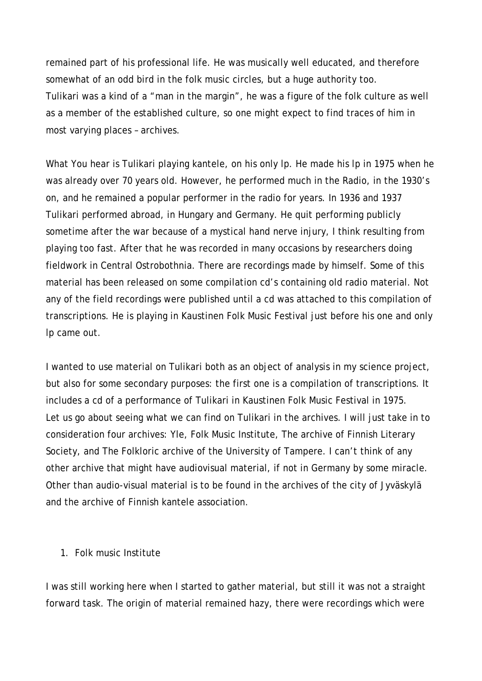remained part of his professional life. He was musically well educated, and therefore somewhat of an odd bird in the folk music circles, but a huge authority too. Tulikari was a kind of a "man in the margin", he was a figure of the folk culture as well as a member of the established culture, so one might expect to find traces of him in most varying places – archives.

What You hear is Tulikari playing kantele, on his only lp. He made his lp in 1975 when he was already over 70 years old. However, he performed much in the Radio, in the 1930's on, and he remained a popular performer in the radio for years. In 1936 and 1937 Tulikari performed abroad, in Hungary and Germany. He quit performing publicly sometime after the war because of a mystical hand nerve injury, I think resulting from playing too fast. After that he was recorded in many occasions by researchers doing fieldwork in Central Ostrobothnia. There are recordings made by himself. Some of this material has been released on some compilation cd's containing old radio material. Not any of the field recordings were published until a cd was attached to this compilation of transcriptions. He is playing in Kaustinen Folk Music Festival just before his one and only lp came out.

I wanted to use material on Tulikari both as an object of analysis in my science project, but also for some secondary purposes: the first one is a compilation of transcriptions. It includes a cd of a performance of Tulikari in Kaustinen Folk Music Festival in 1975. Let us go about seeing what we can find on Tulikari in the archives. I will just take in to consideration four archives: Yle, Folk Music Institute, The archive of Finnish Literary Society, and The Folkloric archive of the University of Tampere. I can't think of any other archive that might have audiovisual material, if not in Germany by some miracle. Other than audio-visual material is to be found in the archives of the city of Jyväskylä and the archive of Finnish kantele association.

## 1. Folk music Institute

I was still working here when I started to gather material, but still it was not a straight forward task. The origin of material remained hazy, there were recordings which were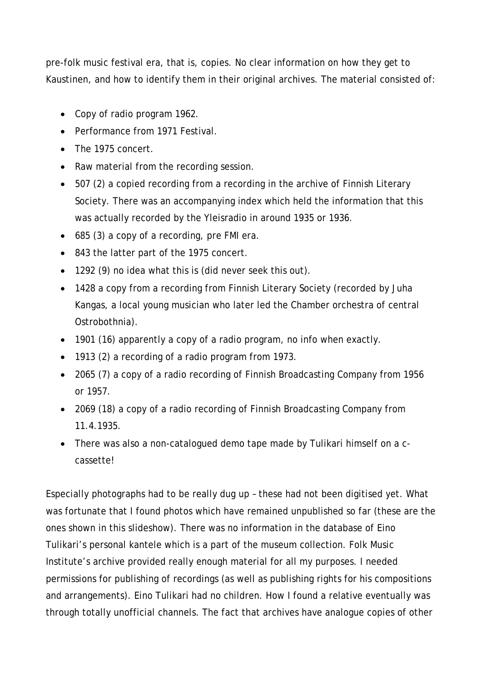pre-folk music festival era, that is, copies. No clear information on how they get to Kaustinen, and how to identify them in their original archives. The material consisted of:

- Copy of radio program 1962.
- Performance from 1971 Festival.
- The 1975 concert.
- Raw material from the recording session.
- 507 (2) a copied recording from a recording in the archive of Finnish Literary Society. There was an accompanying index which held the information that this was actually recorded by the Yleisradio in around 1935 or 1936.
- 685 (3) a copy of a recording, pre FMI era.
- 843 the latter part of the 1975 concert.
- 1292 (9) no idea what this is (did never seek this out).
- 1428 a copy from a recording from Finnish Literary Society (recorded by Juha Kangas, a local young musician who later led the Chamber orchestra of central Ostrobothnia).
- 1901 (16) apparently a copy of a radio program, no info when exactly.
- 1913 (2) a recording of a radio program from 1973.
- 2065 (7) a copy of a radio recording of Finnish Broadcasting Company from 1956 or 1957.
- 2069 (18) a copy of a radio recording of Finnish Broadcasting Company from 11.4.1935.
- There was also a non-catalogued demo tape made by Tulikari himself on a ccassette!

Especially photographs had to be really dug up – these had not been digitised yet. What was fortunate that I found photos which have remained unpublished so far (these are the ones shown in this slideshow). There was no information in the database of Eino Tulikari's personal kantele which is a part of the museum collection. Folk Music Institute's archive provided really enough material for all my purposes. I needed permissions for publishing of recordings (as well as publishing rights for his compositions and arrangements). Eino Tulikari had no children. How I found a relative eventually was through totally unofficial channels. The fact that archives have analogue copies of other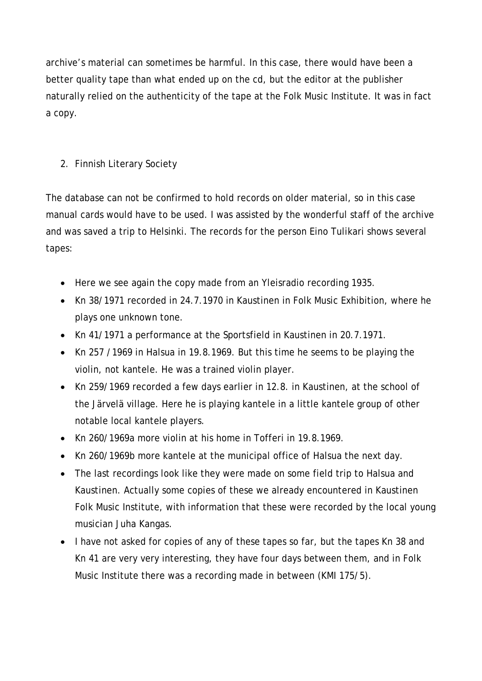archive's material can sometimes be harmful. In this case, there would have been a better quality tape than what ended up on the cd, but the editor at the publisher naturally relied on the authenticity of the tape at the Folk Music Institute. It was in fact a copy.

## 2. Finnish Literary Society

The database can not be confirmed to hold records on older material, so in this case manual cards would have to be used. I was assisted by the wonderful staff of the archive and was saved a trip to Helsinki. The records for the person Eino Tulikari shows several tapes:

- Here we see again the copy made from an Yleisradio recording 1935.
- Kn 38/1971 recorded in 24.7.1970 in Kaustinen in Folk Music Exhibition, where he plays one unknown tone.
- Kn 41/1971 a performance at the Sportsfield in Kaustinen in 20.7.1971.
- Kn 257 /1969 in Halsua in 19.8.1969. But this time he seems to be playing the violin, not kantele. He was a trained violin player.
- Kn 259/1969 recorded a few days earlier in 12.8. in Kaustinen, at the school of the Järvelä village. Here he is playing kantele in a little kantele group of other notable local kantele players.
- Kn 260/1969a more violin at his home in Tofferi in 19.8.1969.
- Kn 260/1969b more kantele at the municipal office of Halsua the next day.
- The last recordings look like they were made on some field trip to Halsua and Kaustinen. Actually some copies of these we already encountered in Kaustinen Folk Music Institute, with information that these were recorded by the local young musician Juha Kangas.
- I have not asked for copies of any of these tapes so far, but the tapes Kn 38 and Kn 41 are very very interesting, they have four days between them, and in Folk Music Institute there was a recording made in between (KMI 175/5).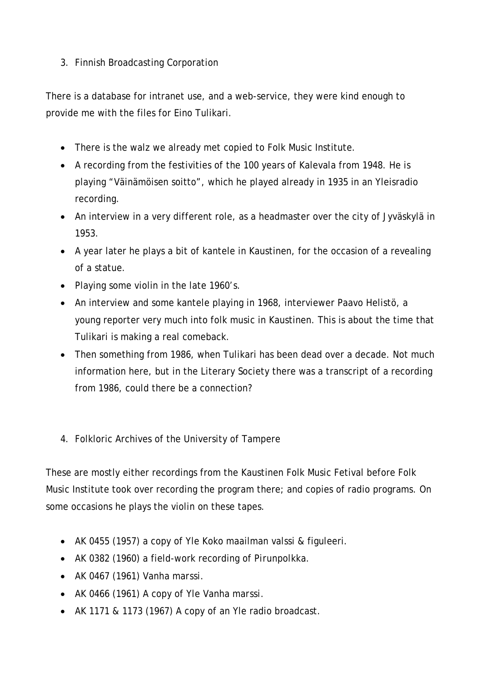## 3. Finnish Broadcasting Corporation

There is a database for intranet use, and a web-service, they were kind enough to provide me with the files for Eino Tulikari.

- There is the walz we already met copied to Folk Music Institute.
- A recording from the festivities of the 100 years of Kalevala from 1948. He is playing "Väinämöisen soitto", which he played already in 1935 in an Yleisradio recording.
- An interview in a very different role, as a headmaster over the city of Jyväskylä in 1953.
- A year later he plays a bit of kantele in Kaustinen, for the occasion of a revealing of a statue.
- Playing some violin in the late 1960's.
- An interview and some kantele playing in 1968, interviewer Paavo Helistö, a young reporter very much into folk music in Kaustinen. This is about the time that Tulikari is making a real comeback.
- Then something from 1986, when Tulikari has been dead over a decade. Not much information here, but in the Literary Society there was a transcript of a recording from 1986, could there be a connection?
- 4. Folkloric Archives of the University of Tampere

These are mostly either recordings from the Kaustinen Folk Music Fetival before Folk Music Institute took over recording the program there; and copies of radio programs. On some occasions he plays the violin on these tapes.

- AK 0455 (1957) a copy of Yle Koko maailman valssi & figuleeri.
- AK 0382 (1960) a field-work recording of *Pirunpolkka*.
- AK 0467 (1961) *Vanha marssi*.
- AK 0466 (1961) A copy of Yle *Vanha marssi*.
- AK 1171 & 1173 (1967) A copy of an Yle radio broadcast.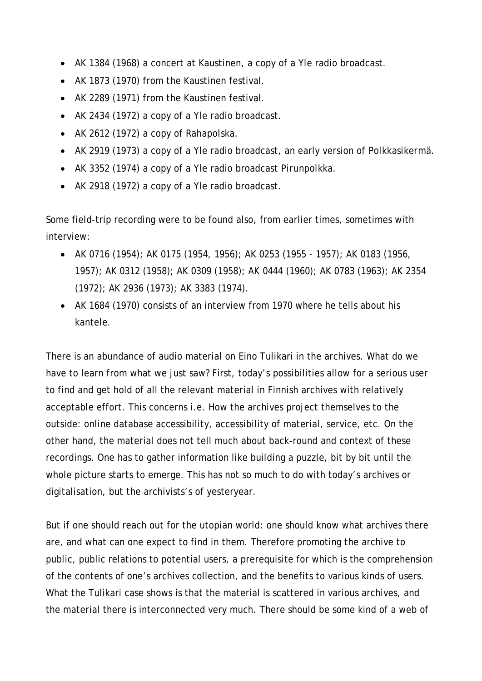- AK 1384 (1968) a concert at Kaustinen, a copy of a Yle radio broadcast.
- AK 1873 (1970) from the Kaustinen festival.
- AK 2289 (1971) from the Kaustinen festival.
- AK 2434 (1972) a copy of a Yle radio broadcast.
- AK 2612 (1972) a copy of *Rahapolska*.
- AK 2919 (1973) a copy of a Yle radio broadcast, an early version of *Polkkasikermä*.
- AK 3352 (1974) a copy of a Yle radio broadcast *Pirunpolkka*.
- AK 2918 (1972) a copy of a Yle radio broadcast.

Some field-trip recording were to be found also, from earlier times, sometimes with interview:

- AK 0716 (1954); AK 0175 (1954, 1956); AK 0253 (1955 1957); AK 0183 (1956, 1957); AK 0312 (1958); AK 0309 (1958); AK 0444 (1960); AK 0783 (1963); AK 2354 (1972); AK 2936 (1973); AK 3383 (1974).
- AK 1684 (1970) consists of an interview from 1970 where he tells about his kantele.

There is an abundance of audio material on Eino Tulikari in the archives. What do we have to learn from what we just saw? First, today's possibilities allow for a serious user to find and get hold of all the relevant material in Finnish archives with relatively acceptable effort. This concerns i.e. How the archives project themselves to the outside: online database accessibility, accessibility of material, service, etc. On the other hand, the material does not tell much about back-round and context of these recordings. One has to gather information like building a puzzle, bit by bit until the whole picture starts to emerge. This has not so much to do with today's archives or digitalisation, but the archivists's of yesteryear.

But if one should reach out for the utopian world: one should know what archives there are, and what can one expect to find in them. Therefore promoting the archive to public, public relations to potential users, a prerequisite for which is the comprehension of the contents of one's archives collection, and the benefits to various kinds of users. What the Tulikari case shows is that the material is scattered in various archives, and the material there is interconnected very much. There should be some kind of a web of